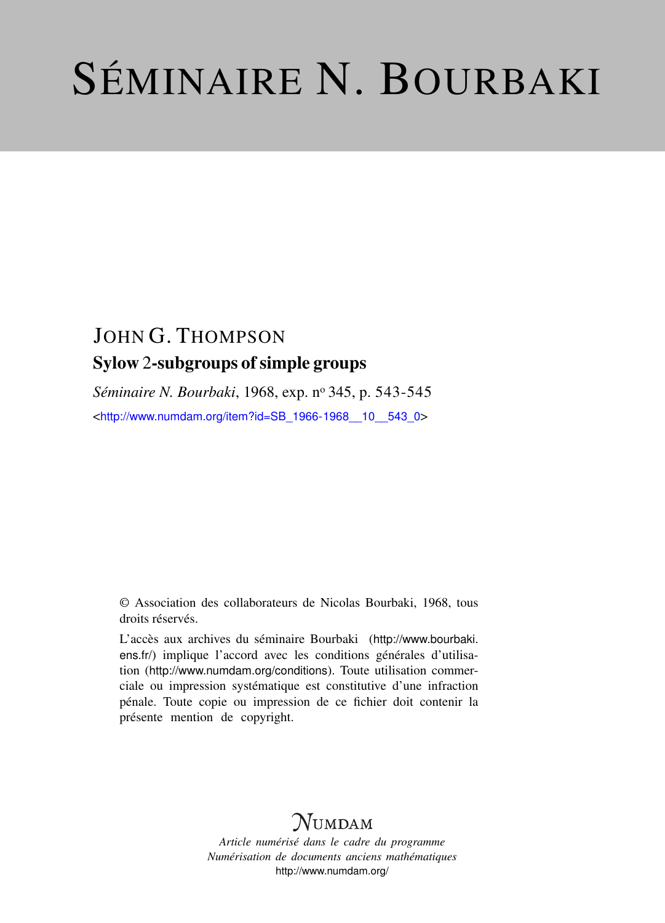# SÉMINAIRE N. BOURBAKI

## JOHN G. THOMPSON Sylow 2-subgroups of simple groups

Séminaire N. Bourbaki, 1968, exp. nº 345, p. 543-545 <[http://www.numdam.org/item?id=SB\\_1966-1968\\_\\_10\\_\\_543\\_0](http://www.numdam.org/item?id=SB_1966-1968__10__543_0)>

© Association des collaborateurs de Nicolas Bourbaki, 1968, tous droits réservés.

L'accès aux archives du séminaire Bourbaki ([http://www.bourbaki.](http://www.bourbaki.ens.fr/) [ens.fr/](http://www.bourbaki.ens.fr/)) implique l'accord avec les conditions générales d'utilisation (<http://www.numdam.org/conditions>). Toute utilisation commerciale ou impression systématique est constitutive d'une infraction pénale. Toute copie ou impression de ce fichier doit contenir la présente mention de copyright.

### **NUMDAM**

*Article numérisé dans le cadre du programme Numérisation de documents anciens mathématiques* <http://www.numdam.org/>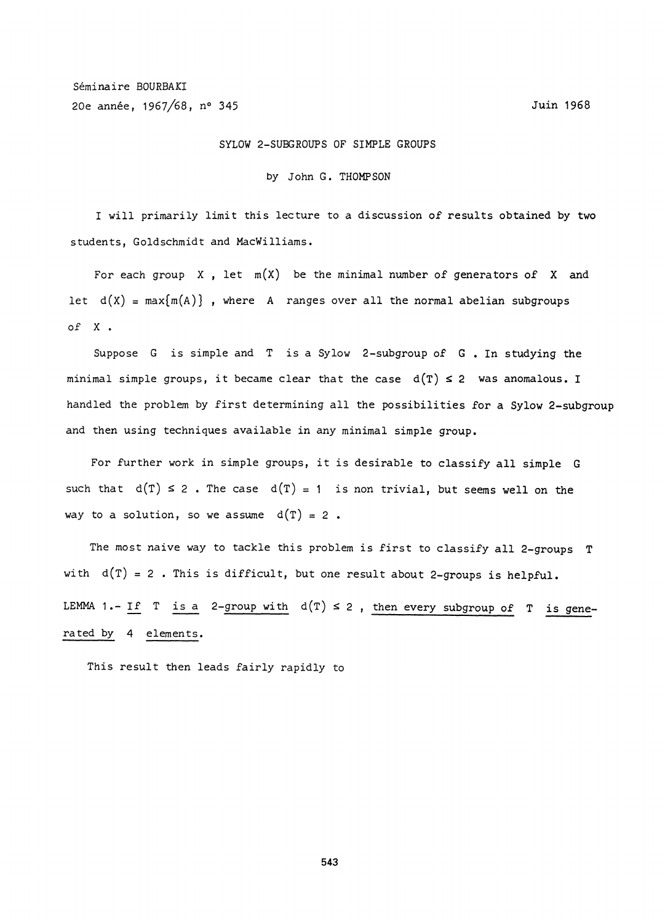#### SYLOW 2-SUBGROUPS OF SIMPLE GROUPS

#### by John G. THOMPSON

I will primarily limit this lecture to a discussion of results obtained by two students, Goldschmidt and MacWilliams.

For each group X, let  $m(X)$  be the minimal number of generators of X and let  $d(X) = max{m(A)}$ , where A ranges over all the normal abelian subgroups of X .

Suppose G is simple and T is a Sylow 2-subgroup of G . In studying the minimal simple groups, it became clear that the case  $d(T) \leq 2$  was anomalous. I handled the problem by first determining all the possibilities for a Sylow 2-subgroup and then using techniques available in any minimal simple group.

For further work in simple groups, it is desirable to classify all simple G such that  $d(T) \le 2$ . The case  $d(T) = 1$  is non trivial, but seems well on the way to a solution, so we assume  $d(T) = 2$ .

The most naive way to tackle this problem is first to classify all 2-groups T with  $d(T) = 2$ . This is difficult, but one result about 2-groups is helpful. LEMMA 1.- If T is a 2-group with  $d(T) \le 2$ , then every subgroup of T is generated by 4 elements.

This result then leads fairly rapidly to

543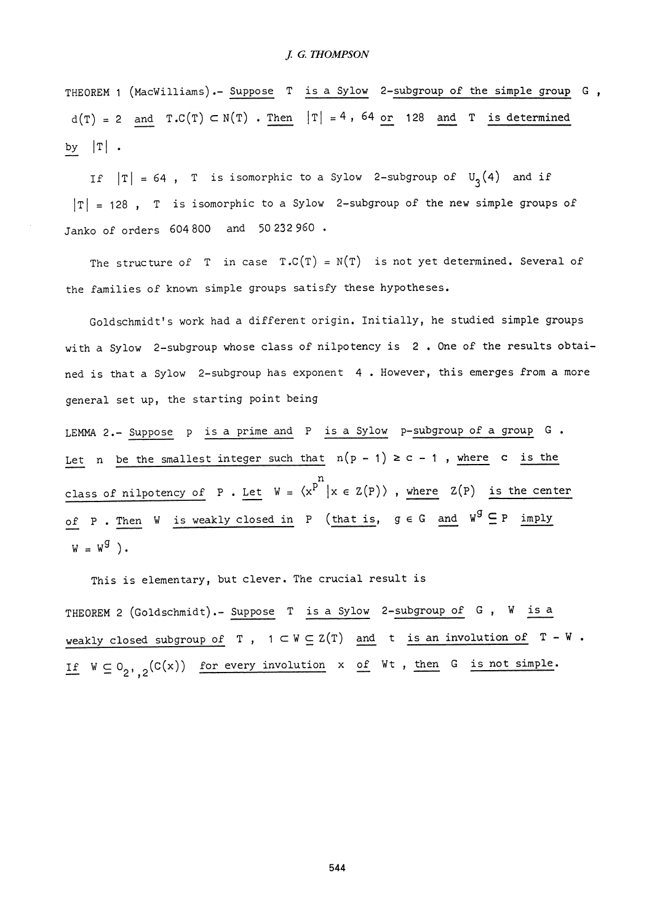THEOREM 1 (MacWilliams).- Suppose T is a Sylow 2-subgroup of the simple group G ,  $d(T) = 2$  and  $T.C(T) \subset N(T)$ . Then  $|T| = 4$ , 64 or 128 and T is determined by  $|T|$  .

If  $|T| = 64$ , T is isomorphic to a Sylow 2-subgroup of  $U_3(4)$  and if  $|T| = 128$ , T is isomorphic to a Sylow 2-subgroup of the new simple groups of Janko of orders 604 800 and 50232960 .

The structure of T in case  $T.C(T) = N(T)$  is not yet determined. Several of the families of known simple groups satisfy these hypotheses.

Goldschmidt's work had a different origin. Initially, he studied simple groups with a Sylow 2-subgroup whose class of nilpotency is 2 . One of the results obtained is that a Sylow 2-subgroup has exponent 4 . However, this emerges from a more general set up, the starting point being

= N(T) is not yet determinal<br>sfy these hypotheses.<br>rigin. Initially, he studie<br>nilpotency is 2. One of the near 4. However, this emerged<br>is a Sylow p-subgroup of<br>the n(p-1)  $\geq c - 1$ , where<br>n<br> $x = 2(p)$ , where  $Z(p)$ <br>(that i LEMMA 2.- Suppose p is a prime and P is a Sylow p-subgroup of a group G. Let n be the smallest integer such that  $n(p-1) \geq c-1$  , where  $c$  is the class of nilpotency of P . Let  $W = \langle x^P \mid x \in Z(P) \rangle$  , where  $Z(P)$  is the center of P . Then W is weakly closed in P (that is,  $g \in G$  and  $W^g \subseteq P$  imply  $W = W<sup>g</sup>$ ).

This is elementary, but clever. The crucial result is THEOREM 2 (Goldschmidt). - Suppose T is a Sylow 2-subgroup of G, W is a weakly closed subgroup of T,  $1 \subset W \subseteq Z(T)$  and t is an involution of  $T - W$ . If  $W \subseteq O_{2^1,2}(C(x))$  for every involution  $x$  of  $Wt$ , then G is not simple.

544